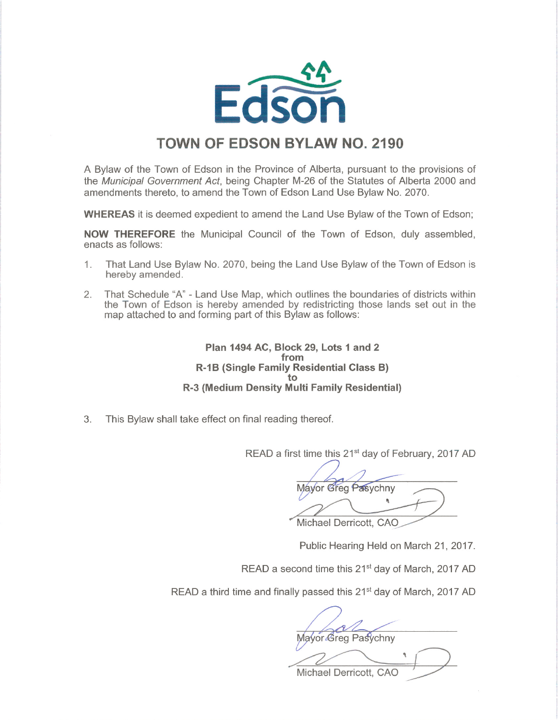

## TOWN OF EDSON BYLAW NO. 2190

A Bylaw of the Town of Edson in the Province of Alberta, pursuant to the provisions of the Municipal Government Act, being Chapter M-26 of the Statutes of Alberta 2000 and amendments thereto, to amend the Town of Edson Land Use Bylaw No. 2070.

WHEREAS it is deemed expedient to amend the Land Use Bylaw of the Town of Edson;

NOW THEREFORE the Municipal Council of the Town of Edson, duly assembled, enacts as follows:

- 1. That Land Use Bylaw No. 2070, being the Land Use Bylaw of the Town of Edson is hereby amended.
- 2. That Schedule "A" Land Use Map, which outlines the boundaries of districts within the Town of Edson is hereby amended by redistricting those lands set out in the map attached to and forming part of this Bylaw as follows:

Plan 1494 AC, Block 29, Lots 1 and 2 from R-1B (Single Family Residential Class B) to R-3 (Medium Density Multi Family Residential)

3. This Bylaw shall take effect on final reading thereof.

READ a first time this 21<sup>st</sup> day of February, 2017 AD

/" Mavor Greg Pasychny **R** Michael Derricott, CAO

Public Hearing Held on March 21, 2017.

READ a second time this 21<sup>st</sup> day of March, 2017 AD

READ a third time and finally passed this 21<sup>st</sup> day of March, 2017 AD

Mayor Greg Pasychny<br>Michael Derricott, CAO '